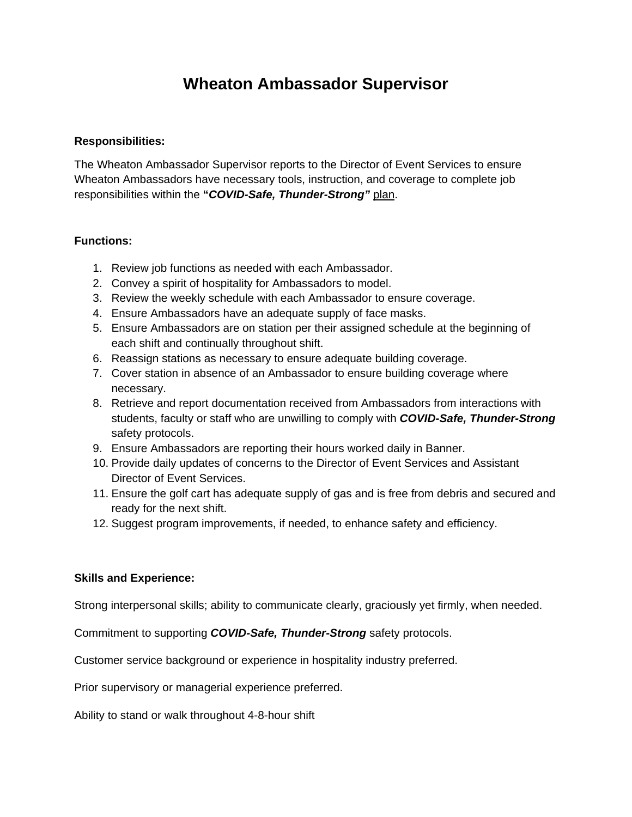## **Wheaton Ambassador Supervisor**

## **Responsibilities:**

The Wheaton Ambassador Supervisor reports to the Director of Event Services to ensure Wheaton Ambassadors have necessary tools, instruction, and coverage to complete job responsibilities within the **"***COVID-Safe, Thunder-Strong"* plan.

## **Functions:**

- 1. Review job functions as needed with each Ambassador.
- 2. Convey a spirit of hospitality for Ambassadors to model.
- 3. Review the weekly schedule with each Ambassador to ensure coverage.
- 4. Ensure Ambassadors have an adequate supply of face masks.
- 5. Ensure Ambassadors are on station per their assigned schedule at the beginning of each shift and continually throughout shift.
- 6. Reassign stations as necessary to ensure adequate building coverage.
- 7. Cover station in absence of an Ambassador to ensure building coverage where necessary.
- 8. Retrieve and report documentation received from Ambassadors from interactions with students, faculty or staff who are unwilling to comply with *COVID-Safe, Thunder-Strong* safety protocols.
- 9. Ensure Ambassadors are reporting their hours worked daily in Banner.
- 10. Provide daily updates of concerns to the Director of Event Services and Assistant Director of Event Services.
- 11. Ensure the golf cart has adequate supply of gas and is free from debris and secured and ready for the next shift.
- 12. Suggest program improvements, if needed, to enhance safety and efficiency.

## **Skills and Experience:**

Strong interpersonal skills; ability to communicate clearly, graciously yet firmly, when needed.

Commitment to supporting *COVID-Safe, Thunder-Strong* safety protocols.

Customer service background or experience in hospitality industry preferred.

Prior supervisory or managerial experience preferred.

Ability to stand or walk throughout 4-8-hour shift